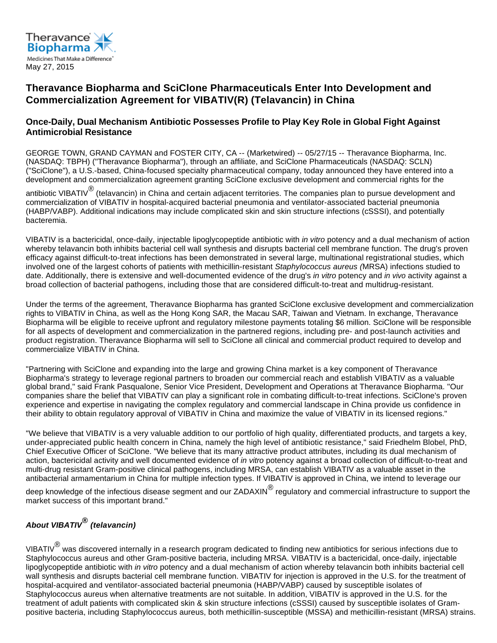

## **Theravance Biopharma and SciClone Pharmaceuticals Enter Into Development and Commercialization Agreement for VIBATIV(R) (Telavancin) in China**

## **Once-Daily, Dual Mechanism Antibiotic Possesses Profile to Play Key Role in Global Fight Against Antimicrobial Resistance**

GEORGE TOWN, GRAND CAYMAN and FOSTER CITY, CA -- (Marketwired) -- 05/27/15 -- Theravance Biopharma, Inc. (NASDAQ: TBPH) ("Theravance Biopharma"), through an affiliate, and SciClone Pharmaceuticals (NASDAQ: SCLN) ("SciClone"), a U.S.-based, China-focused specialty pharmaceutical company, today announced they have entered into a development and commercialization agreement granting SciClone exclusive development and commercial rights for the

antibiotic VIBATIV $^\circledR$  (telavancin) in China and certain adjacent territories. The companies plan to pursue development and commercialization of VIBATIV in hospital-acquired bacterial pneumonia and ventilator-associated bacterial pneumonia (HABP/VABP). Additional indications may include complicated skin and skin structure infections (cSSSI), and potentially bacteremia.

VIBATIV is a bactericidal, once-daily, injectable lipoglycopeptide antibiotic with in vitro potency and a dual mechanism of action whereby telavancin both inhibits bacterial cell wall synthesis and disrupts bacterial cell membrane function. The drug's proven efficacy against difficult-to-treat infections has been demonstrated in several large, multinational registrational studies, which involved one of the largest cohorts of patients with methicillin-resistant Staphylococcus aureus (MRSA) infections studied to date. Additionally, there is extensive and well-documented evidence of the drug's in vitro potency and in vivo activity against a broad collection of bacterial pathogens, including those that are considered difficult-to-treat and multidrug-resistant.

Under the terms of the agreement, Theravance Biopharma has granted SciClone exclusive development and commercialization rights to VIBATIV in China, as well as the Hong Kong SAR, the Macau SAR, Taiwan and Vietnam. In exchange, Theravance Biopharma will be eligible to receive upfront and regulatory milestone payments totaling \$6 million. SciClone will be responsible for all aspects of development and commercialization in the partnered regions, including pre- and post-launch activities and product registration. Theravance Biopharma will sell to SciClone all clinical and commercial product required to develop and commercialize VIBATIV in China.

"Partnering with SciClone and expanding into the large and growing China market is a key component of Theravance Biopharma's strategy to leverage regional partners to broaden our commercial reach and establish VIBATIV as a valuable global brand," said Frank Pasqualone, Senior Vice President, Development and Operations at Theravance Biopharma. "Our companies share the belief that VIBATIV can play a significant role in combating difficult-to-treat infections. SciClone's proven experience and expertise in navigating the complex regulatory and commercial landscape in China provide us confidence in their ability to obtain regulatory approval of VIBATIV in China and maximize the value of VIBATIV in its licensed regions."

"We believe that VIBATIV is a very valuable addition to our portfolio of high quality, differentiated products, and targets a key, under-appreciated public health concern in China, namely the high level of antibiotic resistance," said Friedhelm Blobel, PhD, Chief Executive Officer of SciClone. "We believe that its many attractive product attributes, including its dual mechanism of action, bactericidal activity and well documented evidence of in vitro potency against a broad collection of difficult-to-treat and multi-drug resistant Gram-positive clinical pathogens, including MRSA, can establish VIBATIV as a valuable asset in the antibacterial armamentarium in China for multiple infection types. If VIBATIV is approved in China, we intend to leverage our

deep knowledge of the infectious disease segment and our ZADAXIN $^\circledR$  regulatory and commercial infrastructure to support the market success of this important brand."

# **About VIBATIV® (telavancin)**

VIBATIV $^\circledR$  was discovered internally in a research program dedicated to finding new antibiotics for serious infections due to Staphylococcus aureus and other Gram-positive bacteria, including MRSA. VIBATIV is a bactericidal, once-daily, injectable lipoglycopeptide antibiotic with in vitro potency and a dual mechanism of action whereby telavancin both inhibits bacterial cell wall synthesis and disrupts bacterial cell membrane function. VIBATIV for injection is approved in the U.S. for the treatment of hospital-acquired and ventilator-associated bacterial pneumonia (HABP/VABP) caused by susceptible isolates of Staphylococcus aureus when alternative treatments are not suitable. In addition, VIBATIV is approved in the U.S. for the treatment of adult patients with complicated skin & skin structure infections (cSSSI) caused by susceptible isolates of Grampositive bacteria, including Staphylococcus aureus, both methicillin-susceptible (MSSA) and methicillin-resistant (MRSA) strains.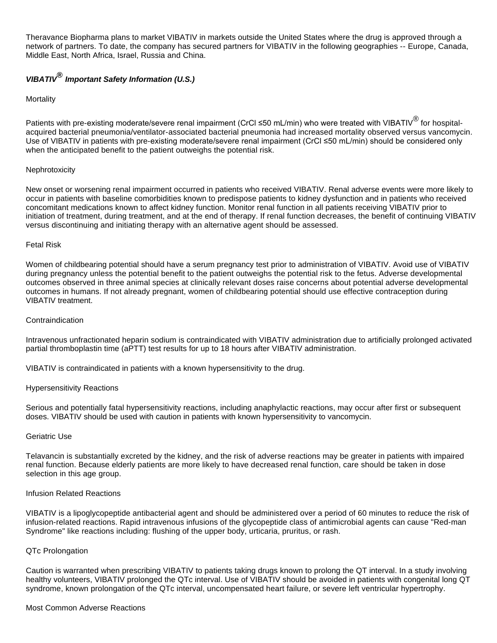Theravance Biopharma plans to market VIBATIV in markets outside the United States where the drug is approved through a network of partners. To date, the company has secured partners for VIBATIV in the following geographies -- Europe, Canada, Middle East, North Africa, Israel, Russia and China.

# **VIBATIV® Important Safety Information (U.S.)**

**Mortality** 

Patients with pre-existing moderate/severe renal impairment (CrCl ≤50 mL/min) who were treated with VIBATIV<sup>®</sup> for hospitalacquired bacterial pneumonia/ventilator-associated bacterial pneumonia had increased mortality observed versus vancomycin. Use of VIBATIV in patients with pre-existing moderate/severe renal impairment (CrCl ≤50 mL/min) should be considered only when the anticipated benefit to the patient outweighs the potential risk.

#### **Nephrotoxicity**

New onset or worsening renal impairment occurred in patients who received VIBATIV. Renal adverse events were more likely to occur in patients with baseline comorbidities known to predispose patients to kidney dysfunction and in patients who received concomitant medications known to affect kidney function. Monitor renal function in all patients receiving VIBATIV prior to initiation of treatment, during treatment, and at the end of therapy. If renal function decreases, the benefit of continuing VIBATIV versus discontinuing and initiating therapy with an alternative agent should be assessed.

#### Fetal Risk

Women of childbearing potential should have a serum pregnancy test prior to administration of VIBATIV. Avoid use of VIBATIV during pregnancy unless the potential benefit to the patient outweighs the potential risk to the fetus. Adverse developmental outcomes observed in three animal species at clinically relevant doses raise concerns about potential adverse developmental outcomes in humans. If not already pregnant, women of childbearing potential should use effective contraception during VIBATIV treatment.

#### Contraindication

Intravenous unfractionated heparin sodium is contraindicated with VIBATIV administration due to artificially prolonged activated partial thromboplastin time (aPTT) test results for up to 18 hours after VIBATIV administration.

VIBATIV is contraindicated in patients with a known hypersensitivity to the drug.

#### Hypersensitivity Reactions

Serious and potentially fatal hypersensitivity reactions, including anaphylactic reactions, may occur after first or subsequent doses. VIBATIV should be used with caution in patients with known hypersensitivity to vancomycin.

#### Geriatric Use

Telavancin is substantially excreted by the kidney, and the risk of adverse reactions may be greater in patients with impaired renal function. Because elderly patients are more likely to have decreased renal function, care should be taken in dose selection in this age group.

#### Infusion Related Reactions

VIBATIV is a lipoglycopeptide antibacterial agent and should be administered over a period of 60 minutes to reduce the risk of infusion-related reactions. Rapid intravenous infusions of the glycopeptide class of antimicrobial agents can cause "Red-man Syndrome" like reactions including: flushing of the upper body, urticaria, pruritus, or rash.

#### QTc Prolongation

Caution is warranted when prescribing VIBATIV to patients taking drugs known to prolong the QT interval. In a study involving healthy volunteers, VIBATIV prolonged the QTc interval. Use of VIBATIV should be avoided in patients with congenital long QT syndrome, known prolongation of the QTc interval, uncompensated heart failure, or severe left ventricular hypertrophy.

### Most Common Adverse Reactions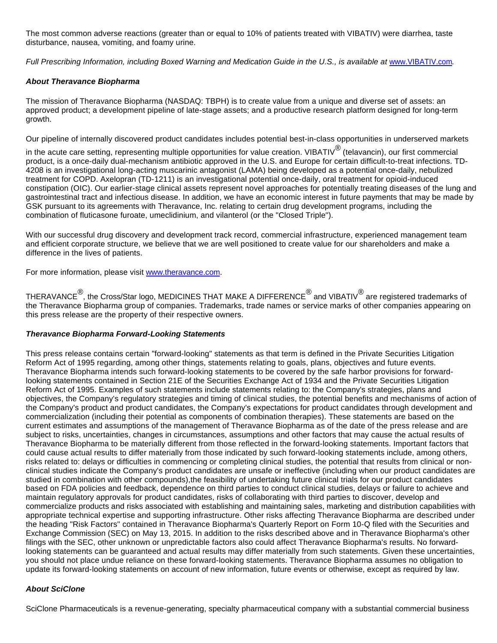The most common adverse reactions (greater than or equal to 10% of patients treated with VIBATIV) were diarrhea, taste disturbance, nausea, vomiting, and foamy urine.

Full Prescribing Information, including Boxed Warning and Medication Guide in the U.S., is available at [www.VIBATIV.com](http://www.vibativ.com/).

## **About Theravance Biopharma**

The mission of Theravance Biopharma (NASDAQ: TBPH) is to create value from a unique and diverse set of assets: an approved product; a development pipeline of late-stage assets; and a productive research platform designed for long-term growth.

Our pipeline of internally discovered product candidates includes potential best-in-class opportunities in underserved markets

in the acute care setting, representing multiple opportunities for value creation. VIBATIV $^\circledR$ (telavancin), our first commercial product, is a once-daily dual-mechanism antibiotic approved in the U.S. and Europe for certain difficult-to-treat infections. TD-4208 is an investigational long-acting muscarinic antagonist (LAMA) being developed as a potential once-daily, nebulized treatment for COPD. Axelopran (TD-1211) is an investigational potential once-daily, oral treatment for opioid-induced constipation (OIC). Our earlier-stage clinical assets represent novel approaches for potentially treating diseases of the lung and gastrointestinal tract and infectious disease. In addition, we have an economic interest in future payments that may be made by GSK pursuant to its agreements with Theravance, Inc. relating to certain drug development programs, including the combination of fluticasone furoate, umeclidinium, and vilanterol (or the "Closed Triple").

With our successful drug discovery and development track record, commercial infrastructure, experienced management team and efficient corporate structure, we believe that we are well positioned to create value for our shareholders and make a difference in the lives of patients.

For more information, please visit [www.theravance.com](http://www.theravance.com/).

THERAVANCE $^\circ$ , the Cross/Star logo, MEDICINES THAT MAKE A DIFFERENCE $^\circledR$  and VIBATIV $^\circledR$  are registered trademarks of the Theravance Biopharma group of companies. Trademarks, trade names or service marks of other companies appearing on this press release are the property of their respective owners.

### **Theravance Biopharma Forward-Looking Statements**

This press release contains certain "forward-looking" statements as that term is defined in the Private Securities Litigation Reform Act of 1995 regarding, among other things, statements relating to goals, plans, objectives and future events. Theravance Biopharma intends such forward-looking statements to be covered by the safe harbor provisions for forwardlooking statements contained in Section 21E of the Securities Exchange Act of 1934 and the Private Securities Litigation Reform Act of 1995. Examples of such statements include statements relating to: the Company's strategies, plans and objectives, the Company's regulatory strategies and timing of clinical studies, the potential benefits and mechanisms of action of the Company's product and product candidates, the Company's expectations for product candidates through development and commercialization (including their potential as components of combination therapies). These statements are based on the current estimates and assumptions of the management of Theravance Biopharma as of the date of the press release and are subject to risks, uncertainties, changes in circumstances, assumptions and other factors that may cause the actual results of Theravance Biopharma to be materially different from those reflected in the forward-looking statements. Important factors that could cause actual results to differ materially from those indicated by such forward-looking statements include, among others, risks related to: delays or difficulties in commencing or completing clinical studies, the potential that results from clinical or nonclinical studies indicate the Company's product candidates are unsafe or ineffective (including when our product candidates are studied in combination with other compounds),the feasibility of undertaking future clinical trials for our product candidates based on FDA policies and feedback, dependence on third parties to conduct clinical studies, delays or failure to achieve and maintain regulatory approvals for product candidates, risks of collaborating with third parties to discover, develop and commercialize products and risks associated with establishing and maintaining sales, marketing and distribution capabilities with appropriate technical expertise and supporting infrastructure. Other risks affecting Theravance Biopharma are described under the heading "Risk Factors" contained in Theravance Biopharma's Quarterly Report on Form 10-Q filed with the Securities and Exchange Commission (SEC) on May 13, 2015. In addition to the risks described above and in Theravance Biopharma's other filings with the SEC, other unknown or unpredictable factors also could affect Theravance Biopharma's results. No forwardlooking statements can be guaranteed and actual results may differ materially from such statements. Given these uncertainties, you should not place undue reliance on these forward-looking statements. Theravance Biopharma assumes no obligation to update its forward-looking statements on account of new information, future events or otherwise, except as required by law.

## **About SciClone**

SciClone Pharmaceuticals is a revenue-generating, specialty pharmaceutical company with a substantial commercial business